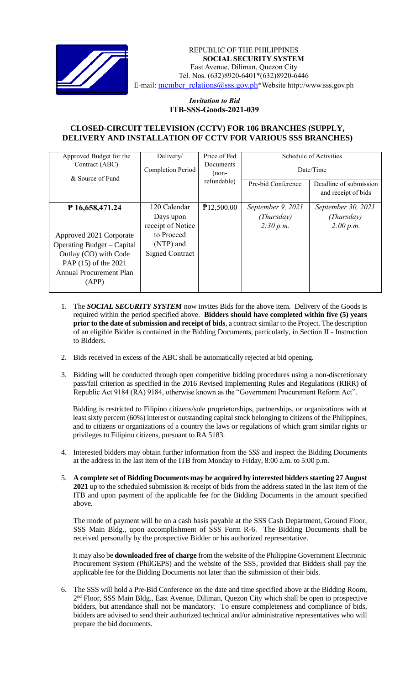

 *Invitation to Bid* REPUBLIC OF THE PHILIPPINES **SOCIAL SECURITY SYSTEM** East Avenue, Diliman, Quezon City Tel. Nos. (632)8920-6401\*(632)8920-6446 E-mail: [member\\_relations@sss.gov.ph](mailto:member_relations@sss.gov.ph)\*Website http://www.sss.gov.ph

## *Invitation to Bid*  **ITB-SSS-Goods-2021-039**

## **CLOSED-CIRCUIT TELEVISION (CCTV) FOR 106 BRANCHES (SUPPLY, DELIVERY AND INSTALLATION OF CCTV FOR VARIOUS SSS BRANCHES)**

| Delivery/              | Price of Bid       | Schedule of Activities<br>Date/Time |                        |
|------------------------|--------------------|-------------------------------------|------------------------|
| Completion Period      | Documents<br>(non- |                                     |                        |
|                        |                    | Pre-bid Conference                  | Deadline of submission |
|                        |                    |                                     | and receipt of bids    |
| 120 Calendar           | P12,500.00         | September 9, 2021                   | September 30, 2021     |
| Days upon              |                    | (Thursday)                          | (Thursday)             |
| receipt of Notice      |                    | 2:30 p.m.                           | 2:00 p.m.              |
| to Proceed             |                    |                                     |                        |
| (NTP) and              |                    |                                     |                        |
| <b>Signed Contract</b> |                    |                                     |                        |
|                        |                    |                                     |                        |
|                        |                    |                                     |                        |
|                        |                    |                                     |                        |
|                        |                    | refundable)                         |                        |

- 1. The *SOCIAL SECURITY SYSTEM* now invites Bids for the above item. Delivery of the Goods is required within the period specified above. **Bidders should have completed within five (5) years prior to the date of submission and receipt of bids**, a contract similar to the Project. The description of an eligible Bidder is contained in the Bidding Documents, particularly, in Section II - Instruction to Bidders.
- 2. Bids received in excess of the ABC shall be automatically rejected at bid opening.
- 3. Bidding will be conducted through open competitive bidding procedures using a non-discretionary pass/fail criterion as specified in the 2016 Revised Implementing Rules and Regulations (RIRR) of Republic Act 9184 (RA) 9184, otherwise known as the "Government Procurement Reform Act".

Bidding is restricted to Filipino citizens/sole proprietorships, partnerships, or organizations with at least sixty percent (60%) interest or outstanding capital stock belonging to citizens of the Philippines, and to citizens or organizations of a country the laws or regulations of which grant similar rights or privileges to Filipino citizens, pursuant to RA 5183.

- 4. Interested bidders may obtain further information from the *SSS* and inspect the Bidding Documents at the address in the last item of the ITB from Monday to Friday, 8:00 a.m. to 5:00 p.m.
- 5. **A complete set of Bidding Documents may be acquired by interested bidders starting 27 August 2021** up to the scheduled submission & receipt of bids from the address stated in the last item of the ITB and upon payment of the applicable fee for the Bidding Documents in the amount specified above.

The mode of payment will be on a cash basis payable at the SSS Cash Department, Ground Floor, SSS Main Bldg., upon accomplishment of SSS Form R-6. The Bidding Documents shall be received personally by the prospective Bidder or his authorized representative.

It may also be **downloaded free of charge** from the website of the Philippine Government Electronic Procurement System (PhilGEPS) and the website of the SSS*,* provided that Bidders shall pay the applicable fee for the Bidding Documents not later than the submission of their bids.

6. The SSS will hold a Pre-Bid Conference on the date and time specified above at the Bidding Room, 2<sup>nd</sup> Floor, SSS Main Bldg., East Avenue, Diliman, Quezon City which shall be open to prospective bidders, but attendance shall not be mandatory. To ensure completeness and compliance of bids, bidders are advised to send their authorized technical and/or administrative representatives who will prepare the bid documents.